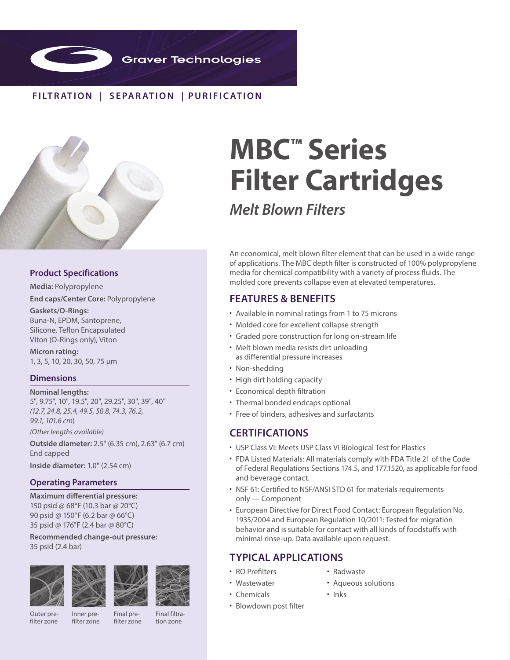

# **FILTR ATION | SEPAR ATION | PURIFIC ATION**



### **Product Specifications**

**Media:** Polypropylene

**End caps/Center Core:** Polypropylene

**Gaskets/O-Rings:** Buna-N, EPDM, Santoprene, Silicone, Teflon Encapsulated Viton (O-Rings only), Viton

**Micron rating:**  1, 3, 5, 10, 20, 30, 50, 75 µm

#### **Dimensions**

**Nominal lengths:** 5", 9.75", 10", 19.5", 20", 29.25", 30", 39", 40" *(12.7, 24.8, 25.4, 49.5, 50.8, 74.3, 76.2, 99.1, 101.6 cm*)

*(Other lengths available)*

**Outside diameter:** 2.5" (6.35 cm), 2.63" (6.7 cm) End capped

**Inside diameter:** 1.0" (2.54 cm)

## **Operating Parameters**

**Maximum differential pressure:**  150 psid @ 68°F (10.3 bar @ 20°C) 90 psid @ 150°F (6.2 bar @ 66°C) 35 psid @ 176°F (2.4 bar @ 80°C)

**Recommended change-out pressure:** 35 psid (2.4 bar)







Final filtration zone

# **MBC™ Series Filter Cartridges**

*Melt Blown Filters*

An economical, melt blown filter element that can be used in a wide range of applications. The MBC depth filter is constructed of 100% polypropylene media for chemical compatibility with a variety of process fluids. The molded core prevents collapse even at elevated temperatures.

# **FEATURES & BENEFITS**

- Available in nominal ratings from 1 to 75 microns
- Molded core for excellent collapse strength
- Graded pore construction for long on-stream life
- Melt blown media resists dirt unloading as differential pressure increases
- Non-shedding
- High dirt holding capacity
- Economical depth filtration
- Thermal bonded endcaps optional
- Free of binders, adhesives and surfactants

# **CERTIFICATIONS**

- USP Class VI: Meets USP Class VI Biological Test for Plastics
- FDA Listed Materials: All materials comply with FDA Title 21 of the Code of Federal Regulations Sections 174.5, and 177.1520, as applicable for food and beverage contact.
- NSF 61: Certified to NSF/ANSI STD 61 for materials requirements only — Component
- European Directive for Direct Food Contact: European Regulation No. 1935/2004 and European Regulation 10/2011: Tested for migration behavior and is suitable for contact with all kinds of foodstuffs with minimal rinse-up. Data available upon request.

# **TYPICAL APPLICATIONS**

- RO Prefilters • Wastewater
- Radwaste

• Inks

- Aqueous solutions
- Chemicals
- Blowdown post filter
- Outer prefilter zone
- Inner prefilter zone

Final prefilter zone